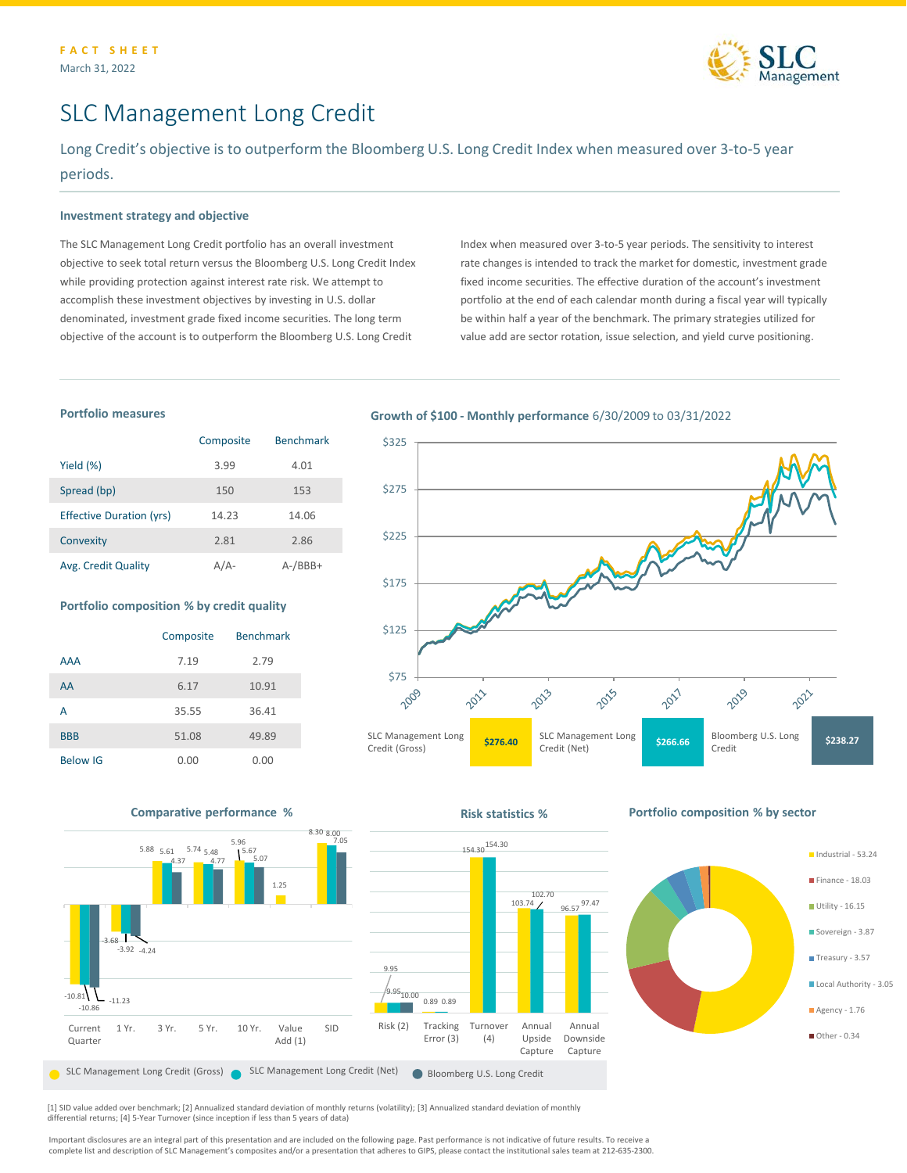

Industrial - 53.24 **Finance - 18.03** Utility - 16.15 Sovereign - 3.87 Treasury - 3.57 Local Authority - 3.05

 $A$ gency - 1.76 Other - 0.34

# SLC Management Long Credit

Long Credit's objective is to outperform the Bloomberg U.S. Long Credit Index when measured over 3-to-5 year periods.

## **Investment strategy and objective**

The SLC Management Long Credit portfolio has an overall investment objective to seek total return versus the Bloomberg U.S. Long Credit Index while providing protection against interest rate risk. We attempt to accomplish these investment objectives by investing in U.S. dollar denominated, investment grade fixed income securities. The long term objective of the account is to outperform the Bloomberg U.S. Long Credit

Index when measured over 3-to-5 year periods. The sensitivity to interest rate changes is intended to track the market for domestic, investment grade fixed income securities. The effective duration of the account's investment portfolio at the end of each calendar month during a fiscal year will typically be within half a year of the benchmark. The primary strategies utilized for value add are sector rotation, issue selection, and yield curve positioning.

#### **Portfolio measures**

|                                 | Composite | <b>Benchmark</b> |
|---------------------------------|-----------|------------------|
| Yield (%)                       | 3.99      | 4.01             |
| Spread (bp)                     | 150       | 153              |
| <b>Effective Duration (yrs)</b> | 14.23     | 14.06            |
| Convexity                       | 2.81      | 2.86             |
| Avg. Credit Quality             | A / A-    | $A$ -/BBB+       |

#### **Portfolio composition % by credit quality**

|                 | Composite | <b>Benchmark</b> |
|-----------------|-----------|------------------|
| <b>AAA</b>      | 7.19      | 2.79             |
| AA              | 6.17      | 10.91            |
| А               | 35.55     | 36.41            |
| <b>BBB</b>      | 51.08     | 49.89            |
| <b>Below IG</b> | 0.00      | 0.00             |

### **Growth of \$100 - Monthly performance** 6/30/2009 to 03/31/2022





[1] SID value added over benchmark; [2] Annualized standard deviation of monthly returns (volatility); [3] Annualized standard deviation of monthly differential returns; [4] 5-Year Turnover (since inception if less than 5 years of data)

Important disclosures are an integral part of this presentation and are included on the following page. Past performance is not indicative of future results. To receive a complete list and description of SLC Management's composites and/or a presentation that adheres to GIPS, please contact the institutional sales team at 212-635-2300.